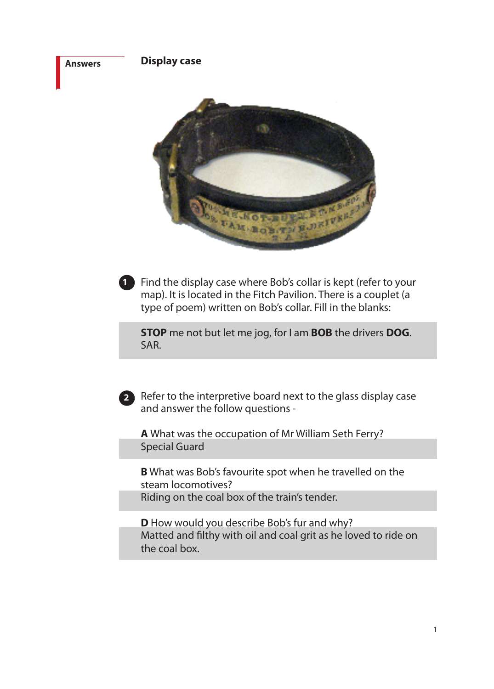### **Answers**

**Display case**



Find the display case where Bob's collar is kept (refer to your **1** map). It is located in the Fitch Pavilion. There is a couplet (a type of poem) written on Bob's collar. Fill in the blanks:

**STOP** me not but let me jog, for I am **BOB** the drivers **DOG**. SAR.

Refer to the interpretive board next to the glass display case **2** and answer the follow questions -

**A** What was the occupation of Mr William Seth Ferry? Special Guard

**B** What was Bob's favourite spot when he travelled on the steam locomotives? Riding on the coal box of the train's tender.

**D** How would you describe Bob's fur and why? Matted and filthy with oil and coal grit as he loved to ride on the coal box.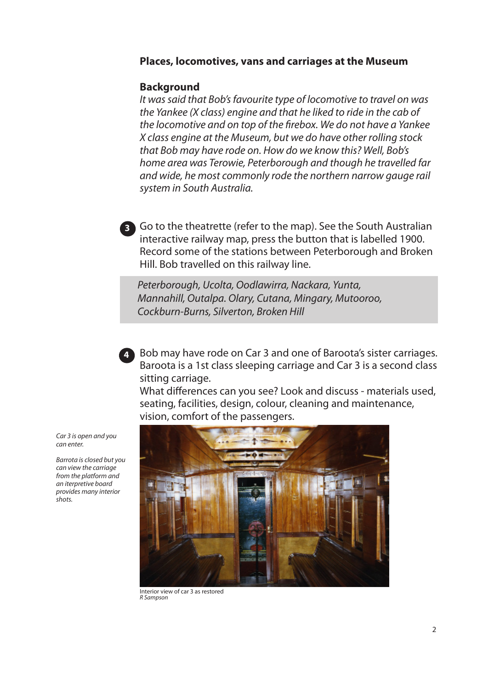### **Places, locomotives, vans and carriages at the Museum**

### **Background**

**3**

*It was said that Bob's favourite type of locomotive to travel on was the Yankee (X class) engine and that he liked to ride in the cab of the locomotive and on top of the firebox. We do not have a Yankee X class engine at the Museum, but we do have other rolling stock that Bob may have rode on. How do we know this? Well, Bob's home area was Terowie, Peterborough and though he travelled far and wide, he most commonly rode the northern narrow gauge rail system in South Australia.*

Go to the theatrette (refer to the map). See the South Australian interactive railway map, press the button that is labelled 1900. Record some of the stations between Peterborough and Broken Hill. Bob travelled on this railway line.

*Peterborough, Ucolta, Oodlawirra, Nackara, Yunta, Mannahill, Outalpa. Olary, Cutana, Mingary, Mutooroo, Cockburn-Burns, Silverton, Broken Hill*

Bob may have rode on Car 3 and one of Baroota's sister carriages. **4** Baroota is a 1st class sleeping carriage and Car 3 is a second class sitting carriage.

What differences can you see? Look and discuss - materials used, seating, facilities, design, colour, cleaning and maintenance, vision, comfort of the passengers.



Interior view of car 3 as restored *R Sampson*

*Car 3 is open and you can enter.*

*Barrota is closed but you can view the carriage from the platform and an iterpretive board provides many interior shots.*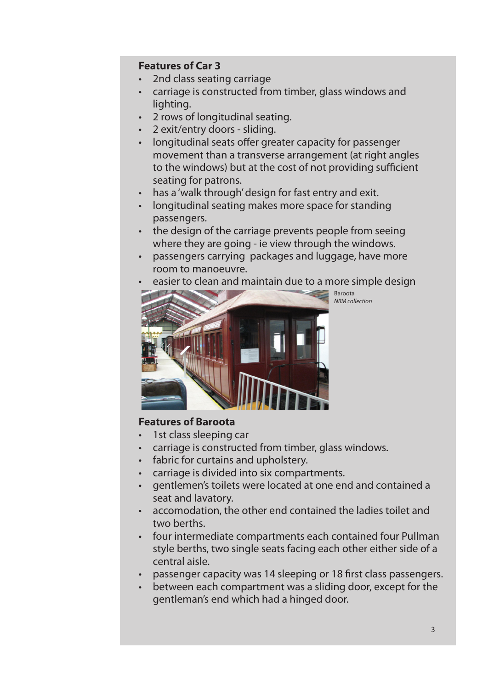## **Features of Car 3**

- • 2nd class seating carriage
- carriage is constructed from timber, glass windows and lighting.
- • 2 rows of longitudinal seating.
- • 2 exit/entry doors sliding.
- longitudinal seats offer greater capacity for passenger movement than a transverse arrangement (at right angles to the windows) but at the cost of not providing sufficient seating for patrons.
- has a 'walk through' design for fast entry and exit.
- longitudinal seating makes more space for standing passengers.
- the design of the carriage prevents people from seeing where they are going - ie view through the windows.
- passengers carrying packages and luggage, have more room to manoeuvre.
- easier to clean and maintain due to a more simple design



## **Features of Baroota**

- 1st class sleeping car
- carriage is constructed from timber, glass windows.
- fabric for curtains and upholstery.
- carriage is divided into six compartments.
- gentlemen's toilets were located at one end and contained a seat and lavatory.
- • accomodation, the other end contained the ladies toilet and two berths.
- four intermediate compartments each contained four Pullman style berths, two single seats facing each other either side of a central aisle.
- passenger capacity was 14 sleeping or 18 first class passengers.
- between each compartment was a sliding door, except for the gentleman's end which had a hinged door.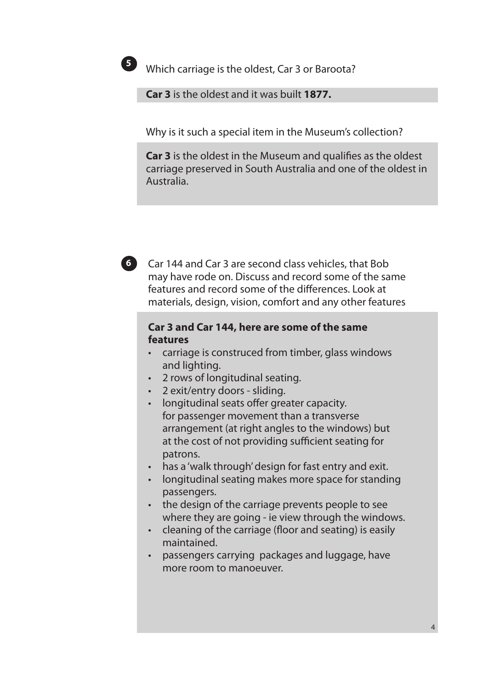

Which carriage is the oldest, Car 3 or Baroota? **5**

**Car 3** is the oldest and it was built **1877.**

Why is it such a special item in the Museum's collection?

**Car 3** is the oldest in the Museum and qualifies as the oldest carriage preserved in South Australia and one of the oldest in Australia.



## **Car 3 and Car 144, here are some of the same features**

- carriage is construced from timber, glass windows and lighting.
- • 2 rows of longitudinal seating.
- • 2 exit/entry doors sliding.
- longitudinal seats offer greater capacity. for passenger movement than a transverse arrangement (at right angles to the windows) but at the cost of not providing sufficient seating for patrons.
- has a 'walk through' design for fast entry and exit.
- longitudinal seating makes more space for standing passengers.
- the design of the carriage prevents people to see where they are going - ie view through the windows.
- cleaning of the carriage (floor and seating) is easily maintained.
- • passengers carrying packages and luggage, have more room to manoeuver.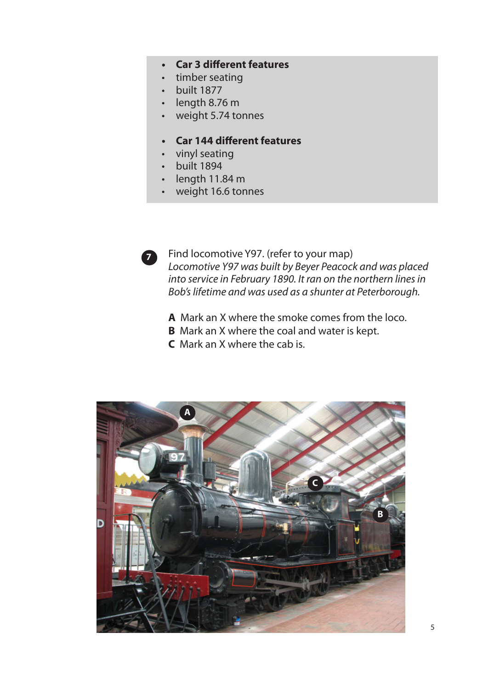# **• Car 3 different features**

- timber seating
- built 1877
- $\cdot$  length 8.76 m
- • weight 5.74 tonnes
- **• Car 144 different features**
- • vinyl seating
- • built 1894
- $\cdot$  length 11.84 m
- weight 16.6 tonnes



Find locomotive Y97. (refer to your map) *Locomotive Y97 was built by Beyer Peacock and was placed into service in February 1890. It ran on the northern lines in Bob's lifetime and was used as a shunter at Peterborough.*

- **A** Mark an X where the smoke comes from the loco.
- **B** Mark an X where the coal and water is kept.
- **C** Mark an X where the cab is.

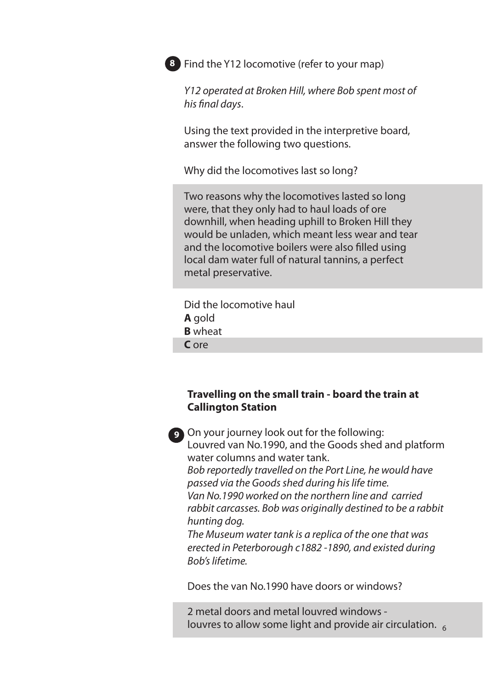

**8** Find the Y12 locomotive (refer to your map)

*Y12 operated at Broken Hill, where Bob spent most of his final days*.

Using the text provided in the interpretive board, answer the following two questions.

Why did the locomotives last so long?

Two reasons why the locomotives lasted so long were, that they only had to haul loads of ore downhill, when heading uphill to Broken Hill they would be unladen, which meant less wear and tear and the locomotive boilers were also filled using local dam water full of natural tannins, a perfect metal preservative.

Did the locomotive haul **A** gold **B** wheat **C** ore

*Bob's lifetime.*

## **Travelling on the small train - board the train at Callington Station**



**129** On your journey look out for the following: Louvred van No.1990, and the Goods shed and platform water columns and water tank. *Bob reportedly travelled on the Port Line, he would have passed via the Goods shed during his life time. Van No.1990 worked on the northern line and carried rabbit carcasses. Bob was originally destined to be a rabbit hunting dog. The Museum water tank is a replica of the one that was erected in Peterborough c1882 -1890, and existed during* 

Does the van No.1990 have doors or windows?

2 metal doors and metal louvred windows louvres to allow some light and provide air circulation.  $65$